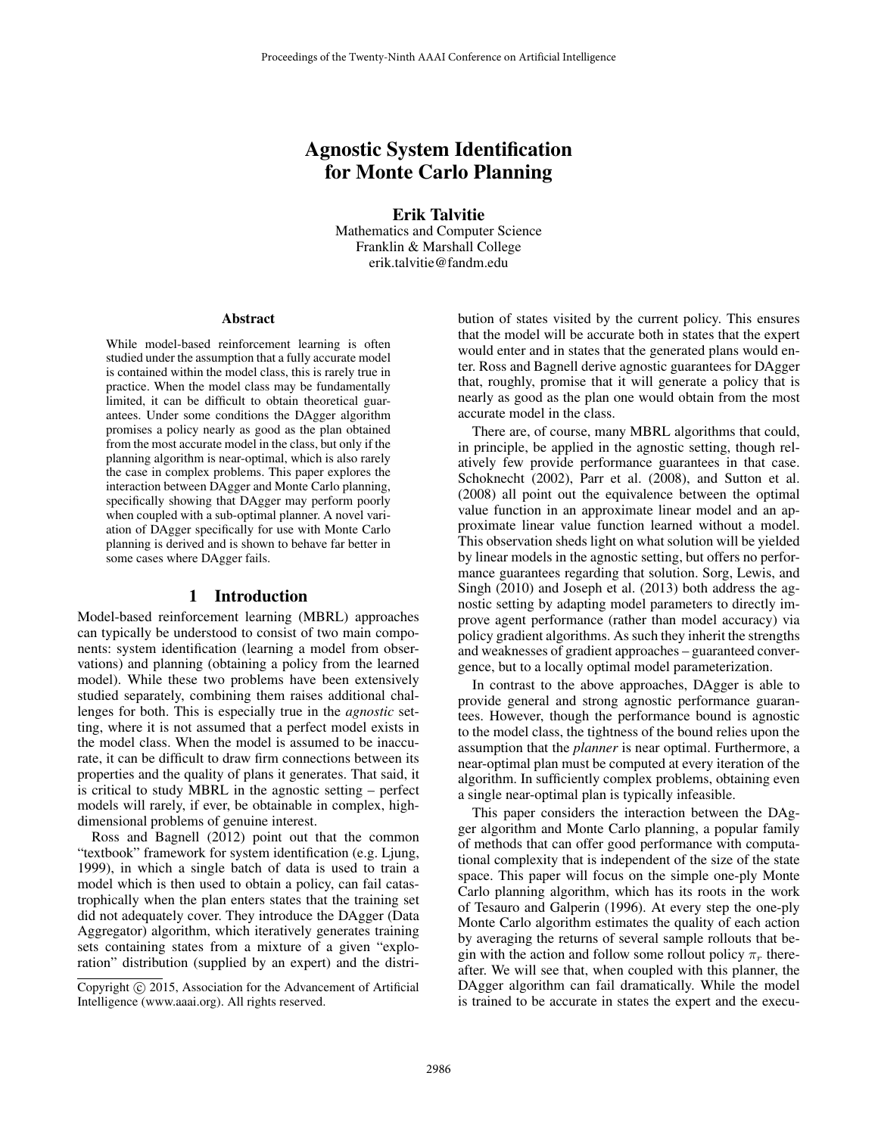# Agnostic System Identification for Monte Carlo Planning

Erik Talvitie Mathematics and Computer Science Franklin & Marshall College erik.talvitie@fandm.edu

#### Abstract

While model-based reinforcement learning is often studied under the assumption that a fully accurate model is contained within the model class, this is rarely true in practice. When the model class may be fundamentally limited, it can be difficult to obtain theoretical guarantees. Under some conditions the DAgger algorithm promises a policy nearly as good as the plan obtained from the most accurate model in the class, but only if the planning algorithm is near-optimal, which is also rarely the case in complex problems. This paper explores the interaction between DAgger and Monte Carlo planning, specifically showing that DAgger may perform poorly when coupled with a sub-optimal planner. A novel variation of DAgger specifically for use with Monte Carlo planning is derived and is shown to behave far better in some cases where DAgger fails.

#### 1 Introduction

Model-based reinforcement learning (MBRL) approaches can typically be understood to consist of two main components: system identification (learning a model from observations) and planning (obtaining a policy from the learned model). While these two problems have been extensively studied separately, combining them raises additional challenges for both. This is especially true in the *agnostic* setting, where it is not assumed that a perfect model exists in the model class. When the model is assumed to be inaccurate, it can be difficult to draw firm connections between its properties and the quality of plans it generates. That said, it is critical to study MBRL in the agnostic setting – perfect models will rarely, if ever, be obtainable in complex, highdimensional problems of genuine interest.

Ross and Bagnell (2012) point out that the common "textbook" framework for system identification (e.g. Ljung, 1999), in which a single batch of data is used to train a model which is then used to obtain a policy, can fail catastrophically when the plan enters states that the training set did not adequately cover. They introduce the DAgger (Data Aggregator) algorithm, which iteratively generates training sets containing states from a mixture of a given "exploration" distribution (supplied by an expert) and the distribution of states visited by the current policy. This ensures that the model will be accurate both in states that the expert would enter and in states that the generated plans would enter. Ross and Bagnell derive agnostic guarantees for DAgger that, roughly, promise that it will generate a policy that is nearly as good as the plan one would obtain from the most accurate model in the class.

There are, of course, many MBRL algorithms that could, in principle, be applied in the agnostic setting, though relatively few provide performance guarantees in that case. Schoknecht (2002), Parr et al. (2008), and Sutton et al. (2008) all point out the equivalence between the optimal value function in an approximate linear model and an approximate linear value function learned without a model. This observation sheds light on what solution will be yielded by linear models in the agnostic setting, but offers no performance guarantees regarding that solution. Sorg, Lewis, and Singh (2010) and Joseph et al. (2013) both address the agnostic setting by adapting model parameters to directly improve agent performance (rather than model accuracy) via policy gradient algorithms. As such they inherit the strengths and weaknesses of gradient approaches – guaranteed convergence, but to a locally optimal model parameterization.

In contrast to the above approaches, DAgger is able to provide general and strong agnostic performance guarantees. However, though the performance bound is agnostic to the model class, the tightness of the bound relies upon the assumption that the *planner* is near optimal. Furthermore, a near-optimal plan must be computed at every iteration of the algorithm. In sufficiently complex problems, obtaining even a single near-optimal plan is typically infeasible.

This paper considers the interaction between the DAgger algorithm and Monte Carlo planning, a popular family of methods that can offer good performance with computational complexity that is independent of the size of the state space. This paper will focus on the simple one-ply Monte Carlo planning algorithm, which has its roots in the work of Tesauro and Galperin (1996). At every step the one-ply Monte Carlo algorithm estimates the quality of each action by averaging the returns of several sample rollouts that begin with the action and follow some rollout policy  $\pi_r$  thereafter. We will see that, when coupled with this planner, the DAgger algorithm can fail dramatically. While the model is trained to be accurate in states the expert and the execu-

Copyright (c) 2015, Association for the Advancement of Artificial Intelligence (www.aaai.org). All rights reserved.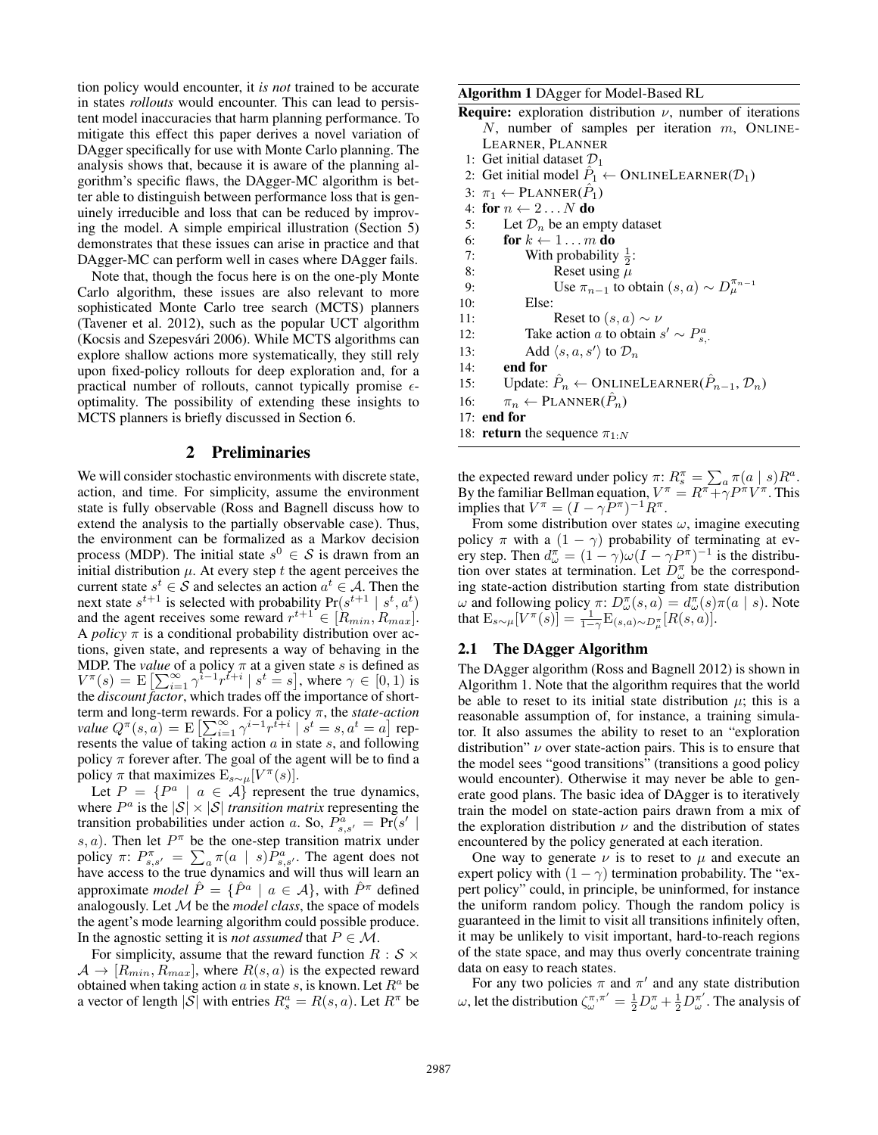tion policy would encounter, it *is not* trained to be accurate in states *rollouts* would encounter. This can lead to persistent model inaccuracies that harm planning performance. To mitigate this effect this paper derives a novel variation of DAgger specifically for use with Monte Carlo planning. The analysis shows that, because it is aware of the planning algorithm's specific flaws, the DAgger-MC algorithm is better able to distinguish between performance loss that is genuinely irreducible and loss that can be reduced by improving the model. A simple empirical illustration (Section 5) demonstrates that these issues can arise in practice and that DAgger-MC can perform well in cases where DAgger fails.

Note that, though the focus here is on the one-ply Monte Carlo algorithm, these issues are also relevant to more sophisticated Monte Carlo tree search (MCTS) planners (Tavener et al. 2012), such as the popular UCT algorithm (Kocsis and Szepesvári 2006). While MCTS algorithms can explore shallow actions more systematically, they still rely upon fixed-policy rollouts for deep exploration and, for a practical number of rollouts, cannot typically promise  $\epsilon$ optimality. The possibility of extending these insights to MCTS planners is briefly discussed in Section 6.

### 2 Preliminaries

We will consider stochastic environments with discrete state, action, and time. For simplicity, assume the environment state is fully observable (Ross and Bagnell discuss how to extend the analysis to the partially observable case). Thus, the environment can be formalized as a Markov decision process (MDP). The initial state  $s^0 \in S$  is drawn from an initial distribution  $\mu$ . At every step t the agent perceives the current state  $s^t \in \mathcal{S}$  and selectes an action  $a^t \in \mathcal{A}$ . Then the next state  $s^{t+1}$  is selected with probability  $Pr(s^{t+1} | s^t, a^t)$ and the agent receives some reward  $r^{t+1} \in [R_{min}, R_{max}]$ . A *policy*  $\pi$  is a conditional probability distribution over actions, given state, and represents a way of behaving in the MDP. The *value* of a policy  $\pi$  at a given state s is defined as  $V^{\pi}(s) = \mathbb{E}\left[\sum_{i=1}^{\infty} \gamma^{\overline{i}-1} r^{\overline{i}+i} \mid s^t = s\right]$ , where  $\gamma \in [0,1)$  is the *discount factor*, which trades off the importance of shortterm and long-term rewards. For a policy π, the *state-action value*  $Q^{\pi}(s, a) = \mathbb{E}\left[\sum_{i=1}^{\infty} \gamma^{i-1} r^{t+i} \mid s^t = s, a^t = a\right]$  represents the value of taking action  $a$  in state  $s$ , and following policy  $\pi$  forever after. The goal of the agent will be to find a policy  $\pi$  that maximizes  $\mathbb{E}_{s \sim \mu}[V^{\pi}(s)].$ 

Let  $P = \{P^a \mid a \in \mathcal{A}\}\$  represent the true dynamics, where  $P^a$  is the  $|S| \times |S|$  *transition matrix* representing the transition probabilities under action a. So,  $P_{s,s'}^a = \Pr(s' | s)$ s, a). Then let  $P^{\pi}$  be the one-step transition matrix under policy  $\pi: P^{\pi}_{s,s'} = \sum_a \pi(a \mid s) \hat{P}^a_{s,s'}$ . The agent does not have access to the true dynamics and will thus will learn an approximate *model*  $\hat{P} = \{ \hat{P}^a \mid a \in \mathcal{A} \}$ , with  $\hat{P}^{\pi}$  defined analogously. Let M be the *model class*, the space of models the agent's mode learning algorithm could possible produce. In the agnostic setting it is *not assumed* that  $P \in \mathcal{M}$ .

For simplicity, assume that the reward function  $R : S \times$  $A \rightarrow [R_{min}, R_{max}]$ , where  $R(s, a)$  is the expected reward obtained when taking action  $a$  in state  $s$ , is known. Let  $R^a$  be a vector of length  $|\mathcal{S}|$  with entries  $R_s^a = R(s, a)$ . Let  $R^{\pi}$  be

Algorithm 1 DAgger for Model-Based RL

- **Require:** exploration distribution  $\nu$ , number of iterations N, number of samples per iteration  $m$ , ONLINE-LEARNER, PLANNER
- 1: Get initial dataset  $\mathcal{D}_1$
- 2: Get initial model  $\hat{P}_1 \leftarrow$  ONLINELEARNER( $\mathcal{D}_1$ )
- 3:  $\pi_1 \leftarrow$  PLANNER( $\hat{P}_1$ )
- 4: for  $n \leftarrow 2...N$  do
- 5: Let  $\mathcal{D}_n$  be an empty dataset
- 6: for  $k \leftarrow 1...m$  do
- 7: With probability  $\frac{1}{2}$ :
- 8: Reset using  $\mu$ 9: Use  $\pi_{n-1}$  to obtain  $(s, a) \sim D_\mu^{\pi_{n-1}}$
- 10: Else:
- 11: **Reset to**  $(s, a) \sim \nu$
- 12: Take action *a* to obtain  $s' \sim P_{s}^a$ .
- 13: Add  $\langle s, a, s' \rangle$  to  $\mathcal{D}_n$
- 14: end for
- 15: Update:  $\hat{P}_n \leftarrow \text{ONLINELEARNING}(\hat{P}_{n-1}, \mathcal{D}_n)$
- 16:  $\pi_n \leftarrow \text{PLANNER}(\hat{P}_n)$

17: end for

18: **return** the sequence  $\pi_{1:N}$ 

the expected reward under policy  $\pi$ :  $R_s^{\pi} = \sum_a \pi(a \mid s) R^a$ . By the familiar Bellman equation,  $V^{\pi} = R^{\pi} + \gamma P^{\pi} V^{\pi}$ . This implies that  $V^{\pi} = (I - \gamma \tilde{P}^{\pi})^{-1} R^{\pi}$ .

From some distribution over states  $\omega$ , imagine executing policy  $\pi$  with a  $(1 - \gamma)$  probability of terminating at every step. Then  $d_{\omega}^{\pi} = (1 - \gamma)\omega(I - \gamma P^{\pi})^{-1}$  is the distribution over states at termination. Let  $D_{\omega}^{\pi}$  be the corresponding state-action distribution starting from state distribution ω and following policy  $\pi: D^{\pi}_{\omega}(s, a) = d^{\pi}_{\omega}(s) \pi(a \mid s)$ . Note that  $\mathbb{E}_{s \sim \mu}[V^{\pi}(s)] = \frac{1}{1-\gamma} \mathbb{E}_{(s,a) \sim D_{\mu}^{\pi}}[R(s,a)].$ 

### 2.1 The DAgger Algorithm

The DAgger algorithm (Ross and Bagnell 2012) is shown in Algorithm 1. Note that the algorithm requires that the world be able to reset to its initial state distribution  $\mu$ ; this is a reasonable assumption of, for instance, a training simulator. It also assumes the ability to reset to an "exploration distribution"  $\nu$  over state-action pairs. This is to ensure that the model sees "good transitions" (transitions a good policy would encounter). Otherwise it may never be able to generate good plans. The basic idea of DAgger is to iteratively train the model on state-action pairs drawn from a mix of the exploration distribution  $\nu$  and the distribution of states encountered by the policy generated at each iteration.

One way to generate  $\nu$  is to reset to  $\mu$  and execute an expert policy with  $(1 - \gamma)$  termination probability. The "expert policy" could, in principle, be uninformed, for instance the uniform random policy. Though the random policy is guaranteed in the limit to visit all transitions infinitely often, it may be unlikely to visit important, hard-to-reach regions of the state space, and may thus overly concentrate training data on easy to reach states.

For any two policies  $\pi$  and  $\pi'$  and any state distribution ω, let the distribution  $\zeta_{\omega}^{\pi,\pi'} = \frac{1}{2}D_{\omega}^{\pi} + \frac{1}{2}D_{\omega}^{\pi'}$ . The analysis of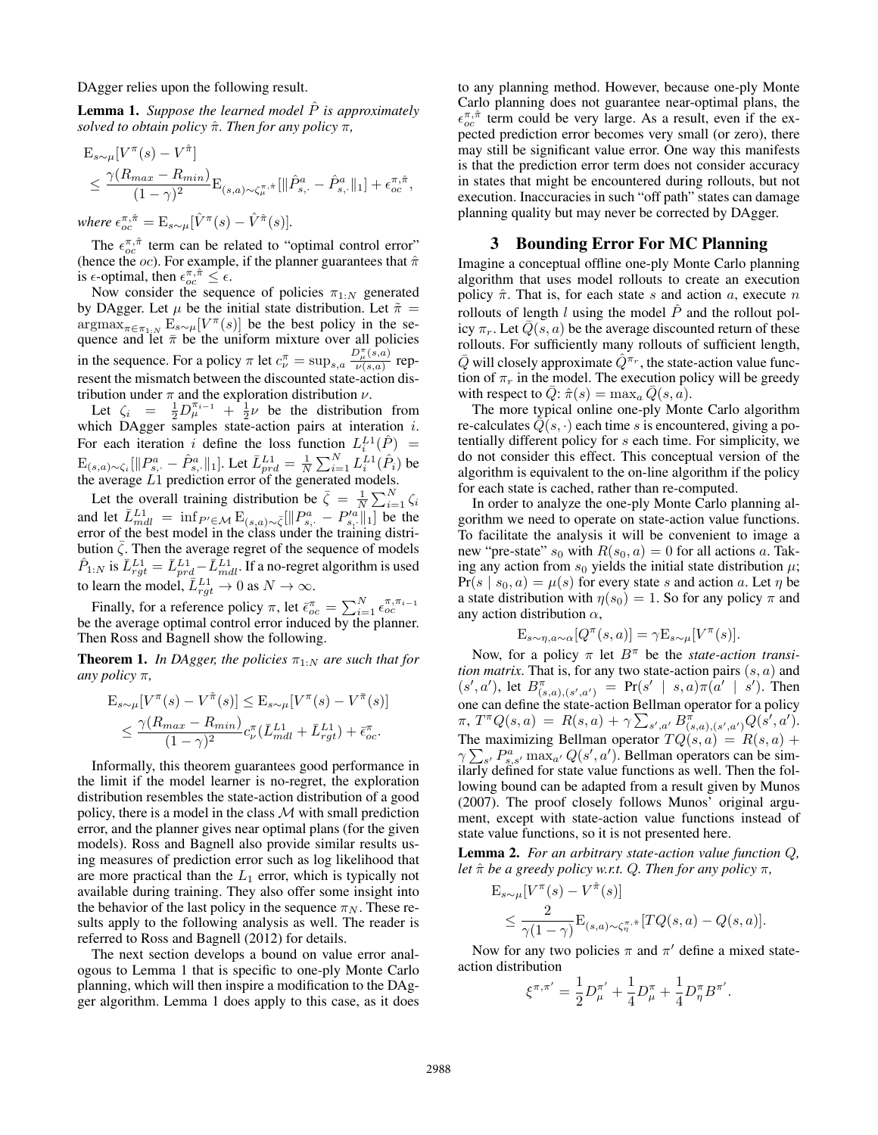DAgger relies upon the following result.

**Lemma 1.** Suppose the learned model  $\hat{P}$  is approximately *solved to obtain policy* πˆ*. Then for any policy* π*,*

$$
E_{s \sim \mu} [V^{\pi}(s) - V^{\hat{\pi}}] \n\leq \frac{\gamma (R_{max} - R_{min})}{(1 - \gamma)^2} E_{(s, a) \sim \zeta_{\mu}^{\pi, \hat{\pi}}} [\|\hat{P}_{s, \cdot}^a - \hat{P}_{s, \cdot}^a\|_1] + \epsilon_{oc}^{\pi, \hat{\pi}},
$$

where  $\epsilon_{oc}^{\pi,\hat{\pi}} = \mathrm{E}_{s\sim\mu}[\hat{V}^{\pi}(s) - \hat{V}^{\hat{\pi}}(s)].$ 

The  $\epsilon_{oc}^{\pi,\hat{\pi}}$  term can be related to "optimal control error" (hence the *oc*). For example, if the planner guarantees that  $\hat{\pi}$ is  $\epsilon$ -optimal, then  $\epsilon_{oc}^{\pi,\hat{\pi}} \leq \epsilon$ .

Now consider the sequence of policies  $\pi_{1:N}$  generated by DAgger. Let  $\mu$  be the initial state distribution. Let  $\tilde{\pi}$  =  $\operatorname{argmax}_{\pi \in \pi_{1:N}} \mathrm{E}_{s \sim \mu}[V^{\pi}(s)]$  be the best policy in the sequence and let  $\bar{\pi}$  be the uniform mixture over all policies in the sequence. For a policy  $\pi$  let  $c_{\nu}^{\pi} = \sup_{s,a} \frac{D_{\mu}^{\pi}(s,a)}{\nu(s,a)}$  represent the mismatch between the discounted state-action distribution under  $\pi$  and the exploration distribution  $\nu$ .

Let  $\zeta_i = \frac{1}{2} D^{\pi_{i-1}}_+ + \frac{1}{2} \nu$  be the distribution from which DAgger samples state-action pairs at interation *i*. For each iteration i define the loss function  $L_i^{L_1}(\hat{P})$  =  $\mathbb{E}_{(s,a)\sim \zeta_i}[\|P^a_{s,\cdot} - \hat{P}^a_{s,\cdot}\|_1].$  Let  $\bar{L}^{L1}_{prd} = \frac{1}{N}\sum_{i=1}^N L^{L1}_i(\hat{P}_i)$  be the average  $L1$  prediction error of the generated models.

Let the overall training distribution be  $\bar{\zeta} = \frac{1}{N} \sum_{i=1}^{N} \zeta_i$ and let  $\bar{L}_{mdl}^{L1} = \inf_{P' \in \mathcal{M}} \mathbb{E}_{(s,a)\sim \bar{\zeta}} [\Vert P^a_{s,\cdot} - P'^a_{s,\cdot} \Vert_1]$  be the error of the best model in the class under the training distribution  $\overline{\zeta}$ . Then the average regret of the sequence of models  $\hat{P}_{1:N}$  is  $\bar{L}_{rgt}^{L1} = \bar{L}_{prd}^{L1} - \bar{L}_{mdl}^{L1}$ . If a no-regret algorithm is used to learn the model,  $\bar{L}_{rgt}^{L1} \rightarrow 0$  as  $N \rightarrow \infty$ .

Finally, for a reference policy  $\pi$ , let  $\bar{\epsilon}_{oc}^{\pi} = \sum_{i=1}^{N} \epsilon_{oc}^{\pi, \pi_{i-1}}$ be the average optimal control error induced by the planner. Then Ross and Bagnell show the following.

**Theorem 1.** *In DAgger, the policies*  $\pi_{1:N}$  *are such that for any policy* π*,*

$$
\mathcal{E}_{s \sim \mu}[V^{\pi}(s) - V^{\tilde{\pi}}(s)] \leq \mathcal{E}_{s \sim \mu}[V^{\pi}(s) - V^{\tilde{\pi}}(s)]
$$
  
 
$$
\leq \frac{\gamma(R_{max} - R_{min})}{(1 - \gamma)^2} c_{\nu}^{\pi} (\bar{L}_{mdl}^{L1} + \bar{L}_{rgt}^{L1}) + \bar{\epsilon}_{oc}^{\pi}.
$$

Informally, this theorem guarantees good performance in the limit if the model learner is no-regret, the exploration distribution resembles the state-action distribution of a good policy, there is a model in the class  $M$  with small prediction error, and the planner gives near optimal plans (for the given models). Ross and Bagnell also provide similar results using measures of prediction error such as log likelihood that are more practical than the  $L_1$  error, which is typically not available during training. They also offer some insight into the behavior of the last policy in the sequence  $\pi_N$ . These results apply to the following analysis as well. The reader is referred to Ross and Bagnell (2012) for details.

The next section develops a bound on value error analogous to Lemma 1 that is specific to one-ply Monte Carlo planning, which will then inspire a modification to the DAgger algorithm. Lemma 1 does apply to this case, as it does to any planning method. However, because one-ply Monte Carlo planning does not guarantee near-optimal plans, the  $\epsilon_{oc}^{\pi,\hat{\pi}}$  term could be very large. As a result, even if the expected prediction error becomes very small (or zero), there may still be significant value error. One way this manifests is that the prediction error term does not consider accuracy in states that might be encountered during rollouts, but not execution. Inaccuracies in such "off path" states can damage planning quality but may never be corrected by DAgger.

## 3 Bounding Error For MC Planning

Imagine a conceptual offline one-ply Monte Carlo planning algorithm that uses model rollouts to create an execution policy  $\hat{\pi}$ . That is, for each state s and action a, execute n rollouts of length l using the model  $\hat{P}$  and the rollout policy  $\pi_r$ . Let  $\overline{Q}(s, a)$  be the average discounted return of these rollouts. For sufficiently many rollouts of sufficient length,  $\bar{Q}$  will closely approximate  $\hat{Q}^{\pi_r}$ , the state-action value function of  $\pi_r$  in the model. The execution policy will be greedy with respect to  $\overline{Q}$ :  $\hat{\pi}(s) = \max_a \overline{Q}(s, a)$ .

The more typical online one-ply Monte Carlo algorithm re-calculates  $\overline{Q}(s, \cdot)$  each time s is encountered, giving a potentially different policy for s each time. For simplicity, we do not consider this effect. This conceptual version of the algorithm is equivalent to the on-line algorithm if the policy for each state is cached, rather than re-computed.

In order to analyze the one-ply Monte Carlo planning algorithm we need to operate on state-action value functions. To facilitate the analysis it will be convenient to image a new "pre-state"  $s_0$  with  $R(s_0, a) = 0$  for all actions a. Taking any action from  $s_0$  yields the initial state distribution  $\mu$ ;  $Pr(s | s_0, a) = \mu(s)$  for every state s and action a. Let  $\eta$  be a state distribution with  $\eta(s_0) = 1$ . So for any policy  $\pi$  and any action distribution  $\alpha$ ,

$$
E_{s \sim \eta, a \sim \alpha} [Q^{\pi}(s, a)] = \gamma E_{s \sim \mu} [V^{\pi}(s)].
$$

Now, for a policy  $\pi$  let  $B^{\pi}$  be the *state-action transition matrix*. That is, for any two state-action pairs  $(s, a)$  and  $(s', a')$ , let  $B^{\pi}_{(s,a),(s',a')}$  = Pr $(s' | s,a)\pi(a' | s')$ . Then one can define the state-action Bellman operator for a policy  $\pi,\, T^\pi Q(s,a)\,=\, R(s,a)+\gamma \sum_{s^\prime, a^\prime} B^{\pi^\prime}_{(s,a),(s^\prime, a^\prime)} Q(\hat{s}^\prime, a^\prime).$ The maximizing Bellman operator  $TQ(s, a) = R(s, a) +$  $\gamma \sum_{s'} P_{s,s'}^a \max_{a'} Q(s',a')$ . Bellman operators can be similarly defined for state value functions as well. Then the following bound can be adapted from a result given by Munos (2007). The proof closely follows Munos' original argument, except with state-action value functions instead of state value functions, so it is not presented here.

Lemma 2. *For an arbitrary state-action value function* Q*, let* πˆ *be a greedy policy w.r.t.* Q*. Then for any policy* π*,*

$$
\mathbf{E}_{s \sim \mu} [V^{\pi}(s) - V^{\hat{\pi}}(s)]
$$
  
\n
$$
\leq \frac{2}{\gamma (1 - \gamma)} \mathbf{E}_{(s,a) \sim \zeta_{\eta}^{\pi, \hat{\pi}}} [TQ(s,a) - Q(s,a)].
$$

Now for any two policies  $\pi$  and  $\pi'$  define a mixed stateaction distribution

$$
\xi^{\pi,\pi'} = \frac{1}{2}D_{\mu}^{\pi'} + \frac{1}{4}D_{\mu}^{\pi} + \frac{1}{4}D_{\eta}^{\pi}B^{\pi'}.
$$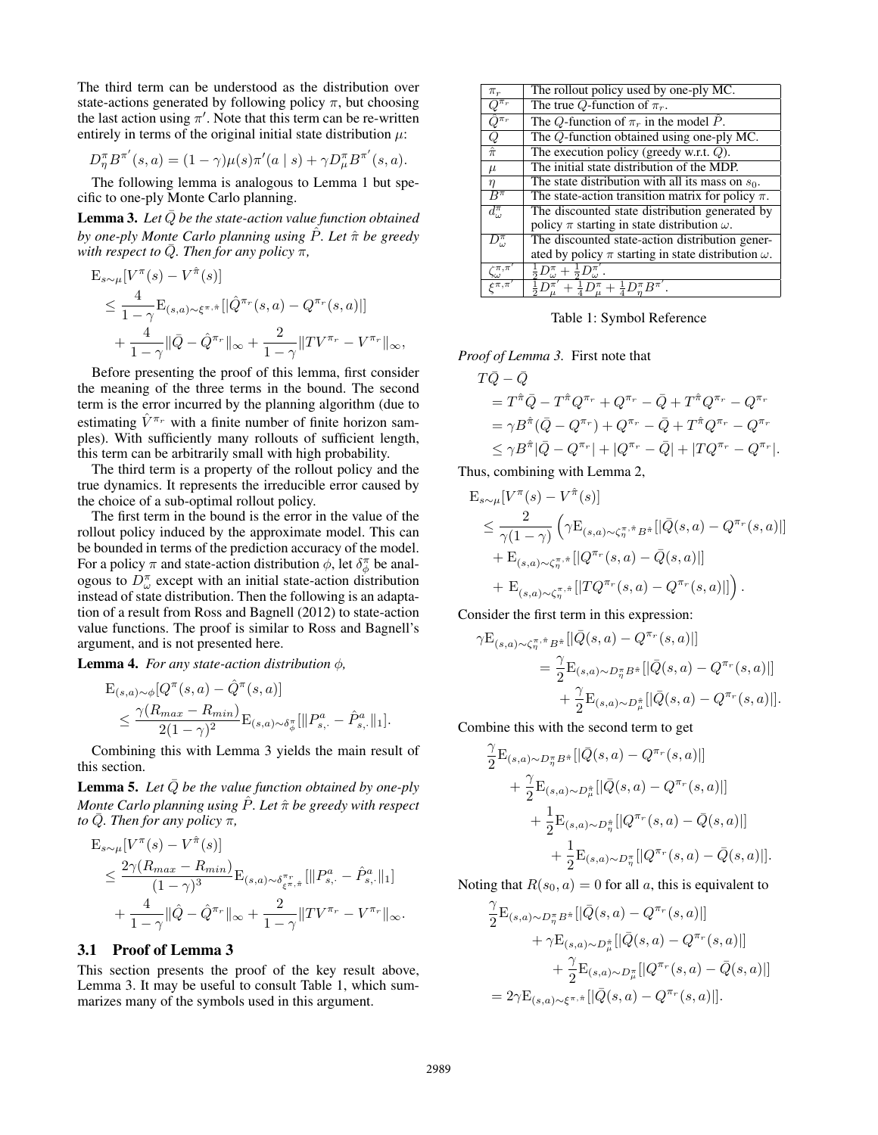The third term can be understood as the distribution over state-actions generated by following policy  $\pi$ , but choosing the last action using  $\pi'$ . Note that this term can be re-written entirely in terms of the original initial state distribution  $\mu$ :

$$
D_{\eta}^{\pi} B^{\pi'}(s, a) = (1 - \gamma)\mu(s)\pi'(a \mid s) + \gamma D_{\mu}^{\pi} B^{\pi'}(s, a).
$$

The following lemma is analogous to Lemma 1 but specific to one-ply Monte Carlo planning.

**Lemma 3.** Let  $\overline{Q}$  be the state-action value function obtained *by one-ply Monte Carlo planning using* Pˆ*. Let* πˆ *be greedy with respect to Q. Then for any policy*  $\pi$ *,* 

$$
E_{s \sim \mu}[V^{\pi}(s) - V^{\hat{\pi}}(s)]
$$
  
\n
$$
\leq \frac{4}{1 - \gamma} E_{(s,a) \sim \xi^{\pi, \hat{\pi}}} [|\hat{Q}^{\pi_r}(s, a) - Q^{\pi_r}(s, a)|]
$$
  
\n
$$
+ \frac{4}{1 - \gamma} ||\bar{Q} - \hat{Q}^{\pi_r}||_{\infty} + \frac{2}{1 - \gamma} ||TV^{\pi_r} - V^{\pi_r}||_{\infty},
$$

Before presenting the proof of this lemma, first consider the meaning of the three terms in the bound. The second term is the error incurred by the planning algorithm (due to estimating  $\hat{V}^{\pi_r}$  with a finite number of finite horizon samples). With sufficiently many rollouts of sufficient length, this term can be arbitrarily small with high probability.

The third term is a property of the rollout policy and the true dynamics. It represents the irreducible error caused by the choice of a sub-optimal rollout policy.

The first term in the bound is the error in the value of the rollout policy induced by the approximate model. This can be bounded in terms of the prediction accuracy of the model. For a policy  $\pi$  and state-action distribution  $\phi$ , let  $\delta_{\phi}^{\pi}$  be analogous to  $D^{\pi}_{\omega}$  except with an initial state-action distribution instead of state distribution. Then the following is an adaptation of a result from Ross and Bagnell (2012) to state-action value functions. The proof is similar to Ross and Bagnell's argument, and is not presented here.

**Lemma 4.** *For any state-action distribution*  $\phi$ *,* 

$$
E_{(s,a)\sim\phi}[Q^{\pi}(s,a) - \hat{Q}^{\pi}(s,a)]
$$
  
\n
$$
\leq \frac{\gamma(R_{max} - R_{min})}{2(1-\gamma)^2} E_{(s,a)\sim\delta_{\phi}^{\pi}}[\|P^a_{s,\cdot} - \hat{P}^a_{s,\cdot}\|_1].
$$

Combining this with Lemma 3 yields the main result of this section.

**Lemma 5.** Let  $\overline{Q}$  be the value function obtained by one-ply *Monte Carlo planning using*  $\hat{P}$ *. Let*  $\hat{\pi}$  *be greedy with respect to*  $\overline{Q}$ *. Then for any policy*  $\pi$ *,* 

$$
E_{s \sim \mu} [V^{\pi}(s) - V^{\hat{\pi}}(s)]
$$
  
\n
$$
\leq \frac{2\gamma (R_{max} - R_{min})}{(1 - \gamma)^3} E_{(s,a) \sim \delta_{\xi^{\pi}, \hat{\pi}}^{\pi_r}} [\| P^a_{s, \cdot} - \hat{P}^a_{s, \cdot} \|_1 ]
$$
  
\n
$$
+ \frac{4}{1 - \gamma} \|\hat{Q} - \hat{Q}^{\pi_r}\|_{\infty} + \frac{2}{1 - \gamma} \|TV^{\pi_r} - V^{\pi_r}\|_{\infty}.
$$

## 3.1 Proof of Lemma 3

This section presents the proof of the key result above, Lemma 3. It may be useful to consult Table 1, which summarizes many of the symbols used in this argument.

| The Q-function obtained using one-ply MC.                      |
|----------------------------------------------------------------|
|                                                                |
|                                                                |
| The state distribution with all its mass on $s_0$ .            |
| The state-action transition matrix for policy $\pi$ .          |
| The discounted state distribution generated by                 |
|                                                                |
| The discounted state-action distribution gener-                |
| ated by policy $\pi$ starting in state distribution $\omega$ . |
|                                                                |
|                                                                |
|                                                                |

Table 1: Symbol Reference

*Proof of Lemma 3.* First note that

$$
T\bar{Q} - \bar{Q}
$$
  
=  $T^{\hat{\pi}}\bar{Q} - T^{\hat{\pi}}Q^{\pi_r} + Q^{\pi_r} - \bar{Q} + T^{\hat{\pi}}Q^{\pi_r} - Q^{\pi_r}$   
=  $\gamma B^{\hat{\pi}}(\bar{Q} - Q^{\pi_r}) + Q^{\pi_r} - \bar{Q} + T^{\hat{\pi}}Q^{\pi_r} - Q^{\pi_r}$   
 $\leq \gamma B^{\hat{\pi}}|\bar{Q} - Q^{\pi_r}| + |Q^{\pi_r} - \bar{Q}| + |TQ^{\pi_r} - Q^{\pi_r}|.$ 

Thus, combining with Lemma 2,

$$
\begin{split} & \mathbf{E}_{s \sim \mu}[V^{\pi}(s) - V^{\hat{\pi}}(s)] \\ &\leq \frac{2}{\gamma(1-\gamma)} \left( \gamma \mathbf{E}_{(s,a) \sim \zeta^{\pi,\hat{\pi}}_{\eta} B^{\hat{\pi}}} [|\bar{Q}(s,a) - Q^{\pi_r}(s,a)|] \\ &+ \mathbf{E}_{(s,a) \sim \zeta^{\pi,\hat{\pi}}_{\eta}} [|Q^{\pi_r}(s,a) - \bar{Q}(s,a)|] \\ &+ \mathbf{E}_{(s,a) \sim \zeta^{\pi,\hat{\pi}}_{\eta}} [|TQ^{\pi_r}(s,a) - Q^{\pi_r}(s,a)|] \right). \end{split}
$$

Consider the first term in this expression:

 $\gamma E_{\ell}$ 

$$
s,a) \sim \zeta_{\eta}^{\pi,\hat{\pi}} B^{\hat{\pi}} [|\bar{Q}(s,a) - Q^{\pi_r}(s,a)|]
$$
  
= 
$$
\frac{\gamma}{2} \mathbf{E}_{(s,a) \sim D_{\eta}^{\pi} B^{\hat{\pi}}} [|\bar{Q}(s,a) - Q^{\pi_r}(s,a)|]
$$
  
+ 
$$
\frac{\gamma}{2} \mathbf{E}_{(s,a) \sim D_{\mu}^{\hat{\pi}}} [|\bar{Q}(s,a) - Q^{\pi_r}(s,a)|].
$$

Combine this with the second term to get

$$
\frac{\gamma}{2} \mathbf{E}_{(s,a)\sim D_{\eta}^{\pi} B^{\hat{\pi}}} [|\bar{Q}(s,a) - Q^{\pi_r}(s,a)|] \n+ \frac{\gamma}{2} \mathbf{E}_{(s,a)\sim D_{\mu}^{\hat{\pi}}} [|\bar{Q}(s,a) - Q^{\pi_r}(s,a)|] \n+ \frac{1}{2} \mathbf{E}_{(s,a)\sim D_{\eta}^{\hat{\pi}}} [Q^{\pi_r}(s,a) - \bar{Q}(s,a)] \n+ \frac{1}{2} \mathbf{E}_{(s,a)\sim D_{\eta}^{\pi}} [Q^{\pi_r}(s,a) - \bar{Q}(s,a)]].
$$

Noting that  $R(s_0, a) = 0$  for all a, this is equivalent to

$$
\begin{split} \frac{\gamma}{2} \mathbf{E}_{(s,a)\sim D_{\eta}^{\pi}B^{\hat{\pi}}} [|\bar{Q}(s,a)-Q^{\pi_r}(s,a)|] \\ &+ \gamma \mathbf{E}_{(s,a)\sim D_{\mu}^{\hat{\pi}}} [|\bar{Q}(s,a)-Q^{\pi_r}(s,a)|] \\ &+ \frac{\gamma}{2} \mathbf{E}_{(s,a)\sim D_{\mu}^{\pi}} [ |Q^{\pi_r}(s,a)-\bar{Q}(s,a)|] \\ & = 2\gamma \mathbf{E}_{(s,a)\sim \xi^{\pi,\hat{\pi}}} [|\bar{Q}(s,a)-Q^{\pi_r}(s,a)|]. \end{split}
$$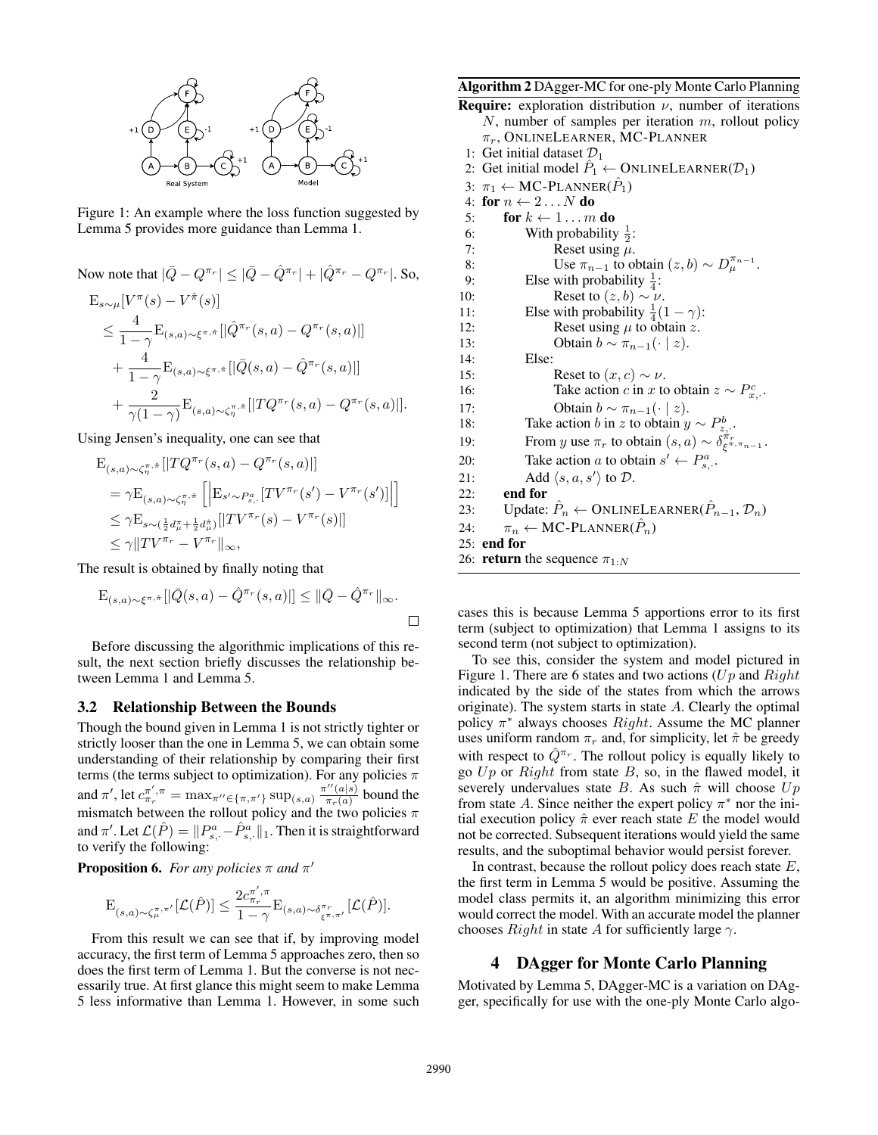

Figure 1: An example where the loss function suggested by Lemma 5 provides more guidance than Lemma 1.

Now note that 
$$
|\bar{Q} - Q^{\pi_r}| \leq |\bar{Q} - \hat{Q}^{\pi_r}| + |\hat{Q}^{\pi_r} - Q^{\pi_r}|
$$
. So,  
\n
$$
E_{s \sim \mu}[V^{\pi}(s) - V^{\hat{\pi}}(s)]
$$
\n
$$
\leq \frac{4}{1 - \gamma} E_{(s, a) \sim \xi^{\pi, \hat{\pi}}} [|\hat{Q}^{\pi_r}(s, a) - Q^{\pi_r}(s, a)|]
$$
\n
$$
+ \frac{4}{1 - \gamma} E_{(s, a) \sim \xi^{\pi, \hat{\pi}}} [|\bar{Q}(s, a) - \hat{Q}^{\pi_r}(s, a)|]
$$
\n
$$
+ \frac{2}{\gamma(1 - \gamma)} E_{(s, a) \sim \xi^{\pi, \hat{\pi}}} [|TQ^{\pi_r}(s, a) - Q^{\pi_r}(s, a)|].
$$

Using Jensen's inequality, one can see that

$$
E_{(s,a)\sim\zeta_{\eta}^{\pi,\hat{\pi}}} [|TQ^{\pi_r}(s,a) - Q^{\pi_r}(s,a)|]
$$
  
\n
$$
= \gamma E_{(s,a)\sim\zeta_{\eta}^{\pi,\hat{\pi}}} [E_{s'\sim P_{s,.}^a} [TV^{\pi_r}(s') - V^{\pi_r}(s')]]
$$
  
\n
$$
\leq \gamma E_{s\sim(\frac{1}{2}d_{\mu}^{\pi} + \frac{1}{2}d_{\mu}^{\hat{\pi}})} [|TV^{\pi_r}(s) - V^{\pi_r}(s)|]
$$
  
\n
$$
\leq \gamma ||TV^{\pi_r} - V^{\pi_r}||_{\infty},
$$

The result is obtained by finally noting that

$$
\mathbf{E}_{(s,a)\sim\xi^{\pi,\hat{\pi}}} [|\bar{Q}(s,a)-\hat{Q}^{\pi_r}(s,a)|] \leq \|\bar{Q}-\hat{Q}^{\pi_r}\|_{\infty}.
$$

Before discussing the algorithmic implications of this result, the next section briefly discusses the relationship between Lemma 1 and Lemma 5.

#### 3.2 Relationship Between the Bounds

Though the bound given in Lemma 1 is not strictly tighter or strictly looser than the one in Lemma 5, we can obtain some understanding of their relationship by comparing their first terms (the terms subject to optimization). For any policies  $\pi$ and  $\pi'$ , let  $c^{\pi'}_{\pi_r} = \max_{\pi'' \in {\pi, \pi' \}} \sup_{s \in [0, a)} \frac{\pi''(a|s)}{\pi_r(a)}$  $rac{(a|s)}{\pi_r(a)}$  bound the mismatch between the rollout policy and the two policies  $\pi$ and  $\pi'.$  Let  $\mathcal{L}(\hat{P}) = \|P^a_{s,\cdot} - \hat{P}^a_{s,\cdot}\|_1.$  Then it is straightforward to verify the following:

**Proposition 6.** For any policies  $\pi$  and  $\pi'$ 

$$
\mathcal{E}_{(s,a)\sim \zeta_\mu^{\pi,\pi'}}[\mathcal{L}(\hat{P})] \leq \frac{2c_{\pi_r}^{\pi',\pi}}{1-\gamma} \mathcal{E}_{(s,a)\sim \delta_{\xi^{\pi,\pi'}}^{\pi_r}}[\mathcal{L}(\hat{P})].
$$

From this result we can see that if, by improving model accuracy, the first term of Lemma 5 approaches zero, then so does the first term of Lemma 1. But the converse is not necessarily true. At first glance this might seem to make Lemma 5 less informative than Lemma 1. However, in some such Algorithm 2 DAgger-MC for one-ply Monte Carlo Planning

**Require:** exploration distribution  $\nu$ , number of iterations  $N$ , number of samples per iteration  $m$ , rollout policy  $\pi_r$ , ONLINELEARNER, MC-PLANNER

- 1: Get initial dataset  $\mathcal{D}_1$
- 2: Get initial model  $\hat{P}_1 \leftarrow$  ONLINELEARNER( $\mathcal{D}_1$ )
- 3:  $\pi_1 \leftarrow \text{MC-PLANNER}(\hat{P}_1)$
- 4: for  $n \leftarrow 2...N$  do 5: for  $k \leftarrow 1...m$  do 6: With probability  $\frac{1}{2}$ : 7: Reset using  $\mu$ . 8: Use  $\pi_{n-1}$  to obtain  $(z, b) \sim D_\mu^{\pi_{n-1}}$ . 9: Else with probability  $\frac{1}{4}$ : 10: Reset to  $(z, b) \sim \nu$ . 11: Else with probability  $\frac{1}{4}(1 - \gamma)$ : 12: Reset using  $\mu$  to obtain z. 13: Obtain  $b \sim \pi_{n-1}(\cdot \mid z)$ . 14: Else: 15: Reset to  $(x, c) \sim \nu$ . 16: Take action *c* in *x* to obtain  $z \sim P_{x}^{c}$ . 17: Obtain  $b \sim \pi_{n-1}(\cdot | z)$ . 18: Take action *b* in z to obtain  $y \sim P_{z}^{b}$ . 19: From y use  $\pi_r$  to obtain  $(s, a) \sim \delta^{\pi_r}_{\xi^{\pi, \pi_{n-1}}}$ . 20: Take action a to obtain  $s' \leftarrow P_{s,\cdot}^a$ . 21: Add  $\langle s, a, s' \rangle$  to  $\mathcal{D}$ . 22: end for 23: Update:  $\hat{P}_n \leftarrow \text{ONLINELEARNING}(\hat{P}_{n-1}, \mathcal{D}_n)$ 24:  $\pi_n \leftarrow \text{MC-PLANNER}(\hat{P}_n)$ 25: end for 26: **return** the sequence  $\pi_{1:N}$

cases this is because Lemma 5 apportions error to its first term (subject to optimization) that Lemma 1 assigns to its second term (not subject to optimization).

To see this, consider the system and model pictured in Figure 1. There are 6 states and two actions  $(U_p)$  and  $Right$ indicated by the side of the states from which the arrows originate). The system starts in state A. Clearly the optimal policy  $\pi^*$  always chooses *Right*. Assume the MC planner uses uniform random  $\pi_r$  and, for simplicity, let  $\hat{\pi}$  be greedy with respect to  $\hat{Q}^{\pi_r}$ . The rollout policy is equally likely to go  $Up$  or  $Right$  from state  $B$ , so, in the flawed model, it severely undervalues state B. As such  $\hat{\pi}$  will choose  $Up$ from state A. Since neither the expert policy  $\pi^*$  nor the initial execution policy  $\hat{\pi}$  ever reach state E the model would not be corrected. Subsequent iterations would yield the same results, and the suboptimal behavior would persist forever.

In contrast, because the rollout policy does reach state  $E$ , the first term in Lemma 5 would be positive. Assuming the model class permits it, an algorithm minimizing this error would correct the model. With an accurate model the planner chooses  $Right$  in state A for sufficiently large  $\gamma$ .

## 4 DAgger for Monte Carlo Planning

Motivated by Lemma 5, DAgger-MC is a variation on DAgger, specifically for use with the one-ply Monte Carlo algo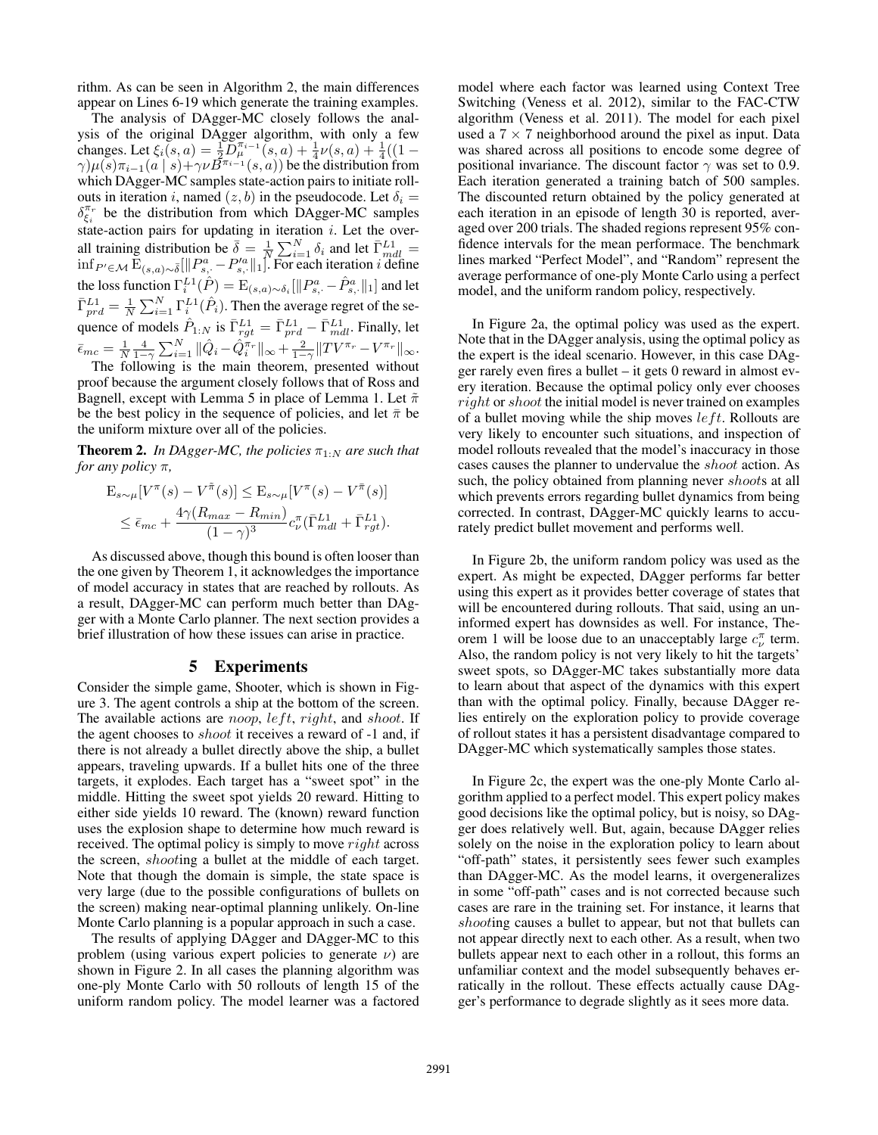rithm. As can be seen in Algorithm 2, the main differences appear on Lines 6-19 which generate the training examples.

The analysis of DAgger-MC closely follows the analysis of the original DAgger algorithm, with only a few changes. Let  $\xi_i(s, a) = \frac{1}{2} D_\mu^{\pi_{i-1}}(s, a) + \frac{1}{4} \nu(s, a) + \frac{1}{4} ((1 \gamma(\mu(s)\pi_{i-1}(a \mid s)+\gamma\nu\vec{B}^{\pi_{i-1}}(s,a))$  be the distribution from which DAgger-MC samples state-action pairs to initiate rollouts in iteration i, named  $(z, b)$  in the pseudocode. Let  $\delta_i =$  $\delta_{\xi_i}^{\pi_r}$  be the distribution from which DAgger-MC samples state-action pairs for updating in iteration  $i$ . Let the overall training distribution be  $\overline{\delta} = \frac{1}{N} \sum_{i=1}^{N} \delta_i$  and let  $\overline{\Gamma}^{L1}_{mdl} =$  $\inf_{P' \in \mathcal{M}} \bar{\mathrm{E}}_{(s,a)\sim \bar{\delta}}[\|P_{s,\cdot}^a - P_{s,\cdot}^{\prime a}\|_1].$  For each iteration *i* define the loss function  $\Gamma_i^{L1}(\hat{P}) = \mathrm{E}_{(s,a)\sim\delta_i}[\|P^a_{s,\cdot} - \hat{P}^a_{s,\cdot}\|_1]$  and let  $\bar{\Gamma}^{L1}_{prd} = \frac{1}{N} \sum_{i=1}^{N} \Gamma^{L1}_{i}(\hat{P}_{i})$ . Then the average regret of the sequence of models  $\hat{P}_{1:N}$  is  $\bar{\Gamma}_{rgt}^{L1} = \bar{\Gamma}_{prd}^{L1} - \bar{\Gamma}_{mdl}^{L1}$ . Finally, let  $\bar{\epsilon}_{mc} = \frac{1}{N} \frac{4}{1-\gamma} \sum_{i=1}^{N} ||\hat{Q}_i - \hat{Q}_i^{\pi_r}||_{\infty} + \frac{2}{1-\gamma} ||TV^{\pi_r} - V^{\pi_r}||_{\infty}.$ 

The following is the main theorem, presented without proof because the argument closely follows that of Ross and Bagnell, except with Lemma 5 in place of Lemma 1. Let  $\tilde{\pi}$ be the best policy in the sequence of policies, and let  $\bar{\pi}$  be the uniform mixture over all of the policies.

**Theorem 2.** In DAgger-MC, the policies  $\pi_{1:N}$  are such that *for any policy* π*,*

$$
\mathbf{E}_{s \sim \mu} [V^{\pi}(s) - V^{\tilde{\pi}}(s)] \leq \mathbf{E}_{s \sim \mu} [V^{\pi}(s) - V^{\tilde{\pi}}(s)]
$$
  
 
$$
\leq \bar{\epsilon}_{mc} + \frac{4\gamma (R_{max} - R_{min})}{(1 - \gamma)^3} c_{\nu}^{\pi} (\bar{\Gamma}_{mdl}^{L1} + \bar{\Gamma}_{rgt}^{L1}).
$$

As discussed above, though this bound is often looser than the one given by Theorem 1, it acknowledges the importance of model accuracy in states that are reached by rollouts. As a result, DAgger-MC can perform much better than DAgger with a Monte Carlo planner. The next section provides a brief illustration of how these issues can arise in practice.

### 5 Experiments

Consider the simple game, Shooter, which is shown in Figure 3. The agent controls a ship at the bottom of the screen. The available actions are *noop*,  $left$ ,  $right$ ,  $right$ , and *shoot*. If the agent chooses to shoot it receives a reward of -1 and, if there is not already a bullet directly above the ship, a bullet appears, traveling upwards. If a bullet hits one of the three targets, it explodes. Each target has a "sweet spot" in the middle. Hitting the sweet spot yields 20 reward. Hitting to either side yields 10 reward. The (known) reward function uses the explosion shape to determine how much reward is received. The optimal policy is simply to move *right* across the screen, shooting a bullet at the middle of each target. Note that though the domain is simple, the state space is very large (due to the possible configurations of bullets on the screen) making near-optimal planning unlikely. On-line Monte Carlo planning is a popular approach in such a case.

The results of applying DAgger and DAgger-MC to this problem (using various expert policies to generate  $\nu$ ) are shown in Figure 2. In all cases the planning algorithm was one-ply Monte Carlo with 50 rollouts of length 15 of the uniform random policy. The model learner was a factored

model where each factor was learned using Context Tree Switching (Veness et al. 2012), similar to the FAC-CTW algorithm (Veness et al. 2011). The model for each pixel used a  $7 \times 7$  neighborhood around the pixel as input. Data was shared across all positions to encode some degree of positional invariance. The discount factor  $\gamma$  was set to 0.9. Each iteration generated a training batch of 500 samples. The discounted return obtained by the policy generated at each iteration in an episode of length 30 is reported, averaged over 200 trials. The shaded regions represent 95% confidence intervals for the mean performace. The benchmark lines marked "Perfect Model", and "Random" represent the average performance of one-ply Monte Carlo using a perfect model, and the uniform random policy, respectively.

In Figure 2a, the optimal policy was used as the expert. Note that in the DAgger analysis, using the optimal policy as the expert is the ideal scenario. However, in this case DAgger rarely even fires a bullet – it gets 0 reward in almost every iteration. Because the optimal policy only ever chooses right or shoot the initial model is never trained on examples of a bullet moving while the ship moves  $left$ . Rollouts are very likely to encounter such situations, and inspection of model rollouts revealed that the model's inaccuracy in those cases causes the planner to undervalue the shoot action. As such, the policy obtained from planning never *shoots* at all which prevents errors regarding bullet dynamics from being corrected. In contrast, DAgger-MC quickly learns to accurately predict bullet movement and performs well.

In Figure 2b, the uniform random policy was used as the expert. As might be expected, DAgger performs far better using this expert as it provides better coverage of states that will be encountered during rollouts. That said, using an uninformed expert has downsides as well. For instance, Theorem 1 will be loose due to an unacceptably large  $c_{\nu}^{\pi}$  term. Also, the random policy is not very likely to hit the targets' sweet spots, so DAgger-MC takes substantially more data to learn about that aspect of the dynamics with this expert than with the optimal policy. Finally, because DAgger relies entirely on the exploration policy to provide coverage of rollout states it has a persistent disadvantage compared to DAgger-MC which systematically samples those states.

In Figure 2c, the expert was the one-ply Monte Carlo algorithm applied to a perfect model. This expert policy makes good decisions like the optimal policy, but is noisy, so DAgger does relatively well. But, again, because DAgger relies solely on the noise in the exploration policy to learn about "off-path" states, it persistently sees fewer such examples than DAgger-MC. As the model learns, it overgeneralizes in some "off-path" cases and is not corrected because such cases are rare in the training set. For instance, it learns that shooting causes a bullet to appear, but not that bullets can not appear directly next to each other. As a result, when two bullets appear next to each other in a rollout, this forms an unfamiliar context and the model subsequently behaves erratically in the rollout. These effects actually cause DAgger's performance to degrade slightly as it sees more data.